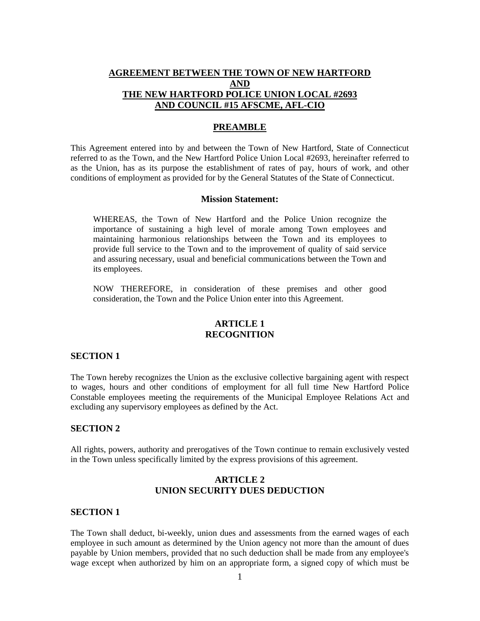## **AGREEMENT BETWEEN THE TOWN OF NEW HARTFORD AND THE NEW HARTFORD POLICE UNION LOCAL #2693 AND COUNCIL #15 AFSCME, AFL-CIO**

#### **PREAMBLE**

This Agreement entered into by and between the Town of New Hartford, State of Connecticut referred to as the Town, and the New Hartford Police Union Local #2693, hereinafter referred to as the Union, has as its purpose the establishment of rates of pay, hours of work, and other conditions of employment as provided for by the General Statutes of the State of Connecticut.

#### **Mission Statement:**

WHEREAS, the Town of New Hartford and the Police Union recognize the importance of sustaining a high level of morale among Town employees and maintaining harmonious relationships between the Town and its employees to provide full service to the Town and to the improvement of quality of said service and assuring necessary, usual and beneficial communications between the Town and its employees.

NOW THEREFORE, in consideration of these premises and other good consideration, the Town and the Police Union enter into this Agreement.

### **ARTICLE 1 RECOGNITION**

#### **SECTION 1**

The Town hereby recognizes the Union as the exclusive collective bargaining agent with respect to wages, hours and other conditions of employment for all full time New Hartford Police Constable employees meeting the requirements of the Municipal Employee Relations Act and excluding any supervisory employees as defined by the Act.

### **SECTION 2**

All rights, powers, authority and prerogatives of the Town continue to remain exclusively vested in the Town unless specifically limited by the express provisions of this agreement.

## **ARTICLE 2 UNION SECURITY DUES DEDUCTION**

#### **SECTION 1**

The Town shall deduct, bi-weekly, union dues and assessments from the earned wages of each employee in such amount as determined by the Union agency not more than the amount of dues payable by Union members, provided that no such deduction shall be made from any employee's wage except when authorized by him on an appropriate form, a signed copy of which must be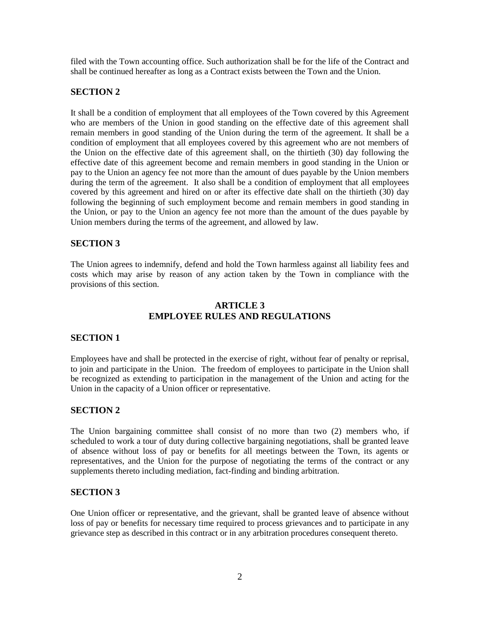filed with the Town accounting office. Such authorization shall be for the life of the Contract and shall be continued hereafter as long as a Contract exists between the Town and the Union.

# **SECTION 2**

It shall be a condition of employment that all employees of the Town covered by this Agreement who are members of the Union in good standing on the effective date of this agreement shall remain members in good standing of the Union during the term of the agreement. It shall be a condition of employment that all employees covered by this agreement who are not members of the Union on the effective date of this agreement shall, on the thirtieth (30) day following the effective date of this agreement become and remain members in good standing in the Union or pay to the Union an agency fee not more than the amount of dues payable by the Union members during the term of the agreement. It also shall be a condition of employment that all employees covered by this agreement and hired on or after its effective date shall on the thirtieth (30) day following the beginning of such employment become and remain members in good standing in the Union, or pay to the Union an agency fee not more than the amount of the dues payable by Union members during the terms of the agreement, and allowed by law.

# **SECTION 3**

The Union agrees to indemnify, defend and hold the Town harmless against all liability fees and costs which may arise by reason of any action taken by the Town in compliance with the provisions of this section.

## **ARTICLE 3 EMPLOYEE RULES AND REGULATIONS**

## **SECTION 1**

Employees have and shall be protected in the exercise of right, without fear of penalty or reprisal, to join and participate in the Union. The freedom of employees to participate in the Union shall be recognized as extending to participation in the management of the Union and acting for the Union in the capacity of a Union officer or representative.

## **SECTION 2**

The Union bargaining committee shall consist of no more than two (2) members who, if scheduled to work a tour of duty during collective bargaining negotiations, shall be granted leave of absence without loss of pay or benefits for all meetings between the Town, its agents or representatives, and the Union for the purpose of negotiating the terms of the contract or any supplements thereto including mediation, fact-finding and binding arbitration.

# **SECTION 3**

One Union officer or representative, and the grievant, shall be granted leave of absence without loss of pay or benefits for necessary time required to process grievances and to participate in any grievance step as described in this contract or in any arbitration procedures consequent thereto.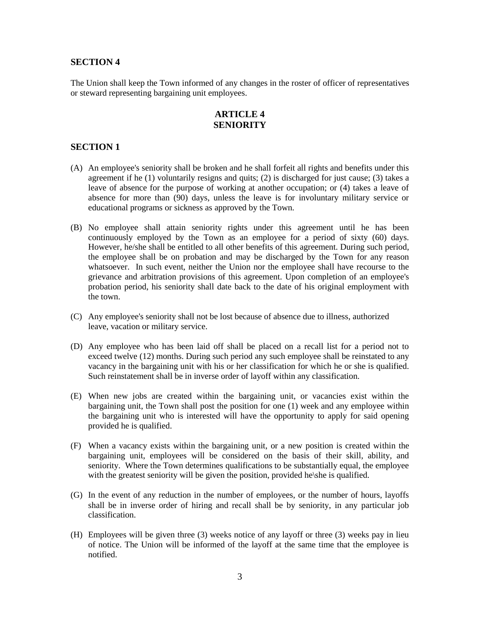The Union shall keep the Town informed of any changes in the roster of officer of representatives or steward representing bargaining unit employees.

# **ARTICLE 4 SENIORITY**

## **SECTION 1**

- (A) An employee's seniority shall be broken and he shall forfeit all rights and benefits under this agreement if he (1) voluntarily resigns and quits; (2) is discharged for just cause; (3) takes a leave of absence for the purpose of working at another occupation; or (4) takes a leave of absence for more than (90) days, unless the leave is for involuntary military service or educational programs or sickness as approved by the Town.
- (B) No employee shall attain seniority rights under this agreement until he has been continuously employed by the Town as an employee for a period of sixty (60) days. However, he/she shall be entitled to all other benefits of this agreement. During such period, the employee shall be on probation and may be discharged by the Town for any reason whatsoever. In such event, neither the Union nor the employee shall have recourse to the grievance and arbitration provisions of this agreement. Upon completion of an employee's probation period, his seniority shall date back to the date of his original employment with the town.
- (C) Any employee's seniority shall not be lost because of absence due to illness, authorized leave, vacation or military service.
- (D) Any employee who has been laid off shall be placed on a recall list for a period not to exceed twelve (12) months. During such period any such employee shall be reinstated to any vacancy in the bargaining unit with his or her classification for which he or she is qualified. Such reinstatement shall be in inverse order of layoff within any classification.
- (E) When new jobs are created within the bargaining unit, or vacancies exist within the bargaining unit, the Town shall post the position for one (1) week and any employee within the bargaining unit who is interested will have the opportunity to apply for said opening provided he is qualified.
- (F) When a vacancy exists within the bargaining unit, or a new position is created within the bargaining unit, employees will be considered on the basis of their skill, ability, and seniority. Where the Town determines qualifications to be substantially equal, the employee with the greatest seniority will be given the position, provided he\she is qualified.
- (G) In the event of any reduction in the number of employees, or the number of hours, layoffs shall be in inverse order of hiring and recall shall be by seniority, in any particular job classification.
- (H) Employees will be given three (3) weeks notice of any layoff or three (3) weeks pay in lieu of notice. The Union will be informed of the layoff at the same time that the employee is notified.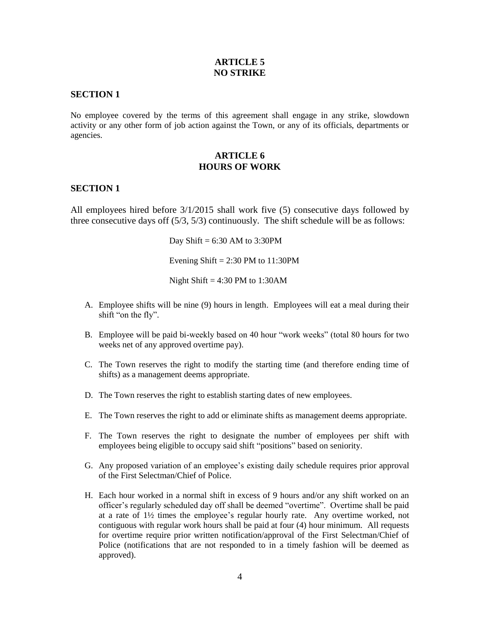## **ARTICLE 5 NO STRIKE**

### **SECTION 1**

No employee covered by the terms of this agreement shall engage in any strike, slowdown activity or any other form of job action against the Town, or any of its officials, departments or agencies.

## **ARTICLE 6 HOURS OF WORK**

### **SECTION 1**

All employees hired before 3/1/2015 shall work five (5) consecutive days followed by three consecutive days off  $(5/3, 5/3)$  continuously. The shift schedule will be as follows:

Day Shift =  $6:30$  AM to 3:30PM

Evening Shift  $= 2:30$  PM to 11:30PM

Night Shift =  $4:30$  PM to 1:30AM

- A. Employee shifts will be nine (9) hours in length. Employees will eat a meal during their shift "on the fly".
- B. Employee will be paid bi-weekly based on 40 hour "work weeks" (total 80 hours for two weeks net of any approved overtime pay).
- C. The Town reserves the right to modify the starting time (and therefore ending time of shifts) as a management deems appropriate.
- D. The Town reserves the right to establish starting dates of new employees.
- E. The Town reserves the right to add or eliminate shifts as management deems appropriate.
- F. The Town reserves the right to designate the number of employees per shift with employees being eligible to occupy said shift "positions" based on seniority.
- G. Any proposed variation of an employee's existing daily schedule requires prior approval of the First Selectman/Chief of Police.
- H. Each hour worked in a normal shift in excess of 9 hours and/or any shift worked on an officer's regularly scheduled day off shall be deemed "overtime". Overtime shall be paid at a rate of 1½ times the employee's regular hourly rate. Any overtime worked, not contiguous with regular work hours shall be paid at four (4) hour minimum. All requests for overtime require prior written notification/approval of the First Selectman/Chief of Police (notifications that are not responded to in a timely fashion will be deemed as approved).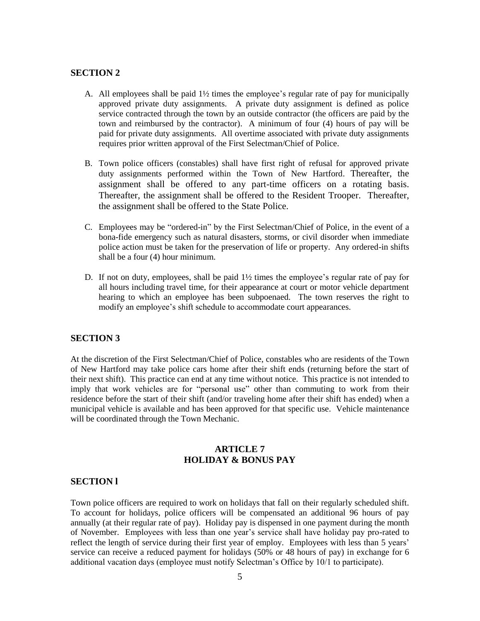- A. All employees shall be paid 1½ times the employee's regular rate of pay for municipally approved private duty assignments. A private duty assignment is defined as police service contracted through the town by an outside contractor (the officers are paid by the town and reimbursed by the contractor). A minimum of four (4) hours of pay will be paid for private duty assignments. All overtime associated with private duty assignments requires prior written approval of the First Selectman/Chief of Police.
- B. Town police officers (constables) shall have first right of refusal for approved private duty assignments performed within the Town of New Hartford. Thereafter, the assignment shall be offered to any part-time officers on a rotating basis. Thereafter, the assignment shall be offered to the Resident Trooper. Thereafter, the assignment shall be offered to the State Police.
- C. Employees may be "ordered-in" by the First Selectman/Chief of Police, in the event of a bona-fide emergency such as natural disasters, storms, or civil disorder when immediate police action must be taken for the preservation of life or property. Any ordered-in shifts shall be a four (4) hour minimum.
- D. If not on duty, employees, shall be paid  $1\frac{1}{2}$  times the employee's regular rate of pay for all hours including travel time, for their appearance at court or motor vehicle department hearing to which an employee has been subpoenaed. The town reserves the right to modify an employee's shift schedule to accommodate court appearances.

### **SECTION 3**

At the discretion of the First Selectman/Chief of Police, constables who are residents of the Town of New Hartford may take police cars home after their shift ends (returning before the start of their next shift). This practice can end at any time without notice. This practice is not intended to imply that work vehicles are for "personal use" other than commuting to work from their residence before the start of their shift (and/or traveling home after their shift has ended) when a municipal vehicle is available and has been approved for that specific use. Vehicle maintenance will be coordinated through the Town Mechanic.

## **ARTICLE 7 HOLIDAY & BONUS PAY**

#### **SECTION l**

Town police officers are required to work on holidays that fall on their regularly scheduled shift. To account for holidays, police officers will be compensated an additional 96 hours of pay annually (at their regular rate of pay). Holiday pay is dispensed in one payment during the month of November. Employees with less than one year's service shall have holiday pay pro-rated to reflect the length of service during their first year of employ. Employees with less than 5 years' service can receive a reduced payment for holidays (50% or 48 hours of pay) in exchange for 6 additional vacation days (employee must notify Selectman's Office by 10/1 to participate).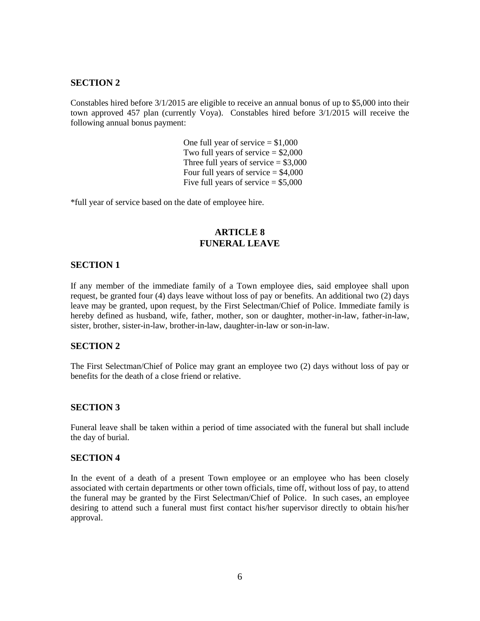Constables hired before 3/1/2015 are eligible to receive an annual bonus of up to \$5,000 into their town approved 457 plan (currently Voya). Constables hired before 3/1/2015 will receive the following annual bonus payment:

> One full year of service  $= $1,000$ Two full years of service  $= $2,000$ Three full years of service  $= $3,000$ Four full years of service  $= $4,000$ Five full years of service  $= $5,000$

\*full year of service based on the date of employee hire.

## **ARTICLE 8 FUNERAL LEAVE**

## **SECTION 1**

If any member of the immediate family of a Town employee dies, said employee shall upon request, be granted four (4) days leave without loss of pay or benefits. An additional two (2) days leave may be granted, upon request, by the First Selectman/Chief of Police. Immediate family is hereby defined as husband, wife, father, mother, son or daughter, mother-in-law, father-in-law, sister, brother, sister-in-law, brother-in-law, daughter-in-law or son-in-law.

### **SECTION 2**

The First Selectman/Chief of Police may grant an employee two (2) days without loss of pay or benefits for the death of a close friend or relative.

### **SECTION 3**

Funeral leave shall be taken within a period of time associated with the funeral but shall include the day of burial.

### **SECTION 4**

In the event of a death of a present Town employee or an employee who has been closely associated with certain departments or other town officials, time off, without loss of pay, to attend the funeral may be granted by the First Selectman/Chief of Police. In such cases, an employee desiring to attend such a funeral must first contact his/her supervisor directly to obtain his/her approval.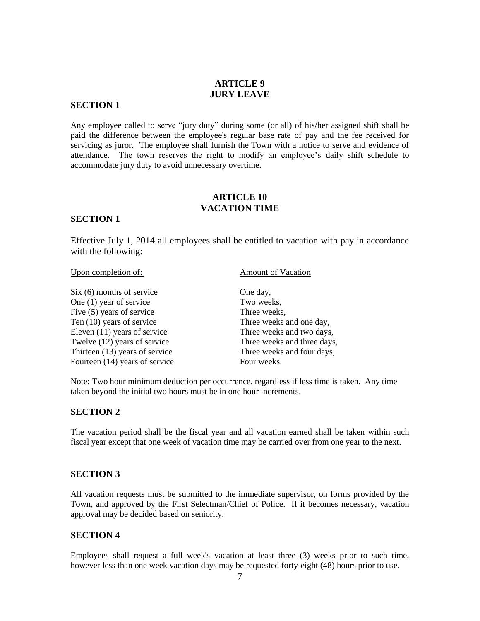## **ARTICLE 9 JURY LEAVE**

### **SECTION 1**

Any employee called to serve "jury duty" during some (or all) of his/her assigned shift shall be paid the difference between the employee's regular base rate of pay and the fee received for servicing as juror. The employee shall furnish the Town with a notice to serve and evidence of attendance. The town reserves the right to modify an employee's daily shift schedule to accommodate jury duty to avoid unnecessary overtime.

## **ARTICLE 10 VACATION TIME**

### **SECTION 1**

Effective July 1, 2014 all employees shall be entitled to vacation with pay in accordance with the following:

#### Upon completion of: Amount of Vacation

Six (6) months of service One day, One (1) year of service Two weeks, Five (5) years of service Three weeks, Ten (10) years of service Three weeks and one day, Eleven (11) years of service Three weeks and two days, Twelve (12) years of service Three weeks and three days, Thirteen (13) years of service Three weeks and four days, Fourteen (14) years of service Four weeks.

Note: Two hour minimum deduction per occurrence, regardless if less time is taken. Any time taken beyond the initial two hours must be in one hour increments.

## **SECTION 2**

The vacation period shall be the fiscal year and all vacation earned shall be taken within such fiscal year except that one week of vacation time may be carried over from one year to the next.

## **SECTION 3**

All vacation requests must be submitted to the immediate supervisor, on forms provided by the Town, and approved by the First Selectman/Chief of Police. If it becomes necessary, vacation approval may be decided based on seniority.

### **SECTION 4**

Employees shall request a full week's vacation at least three (3) weeks prior to such time, however less than one week vacation days may be requested forty-eight (48) hours prior to use.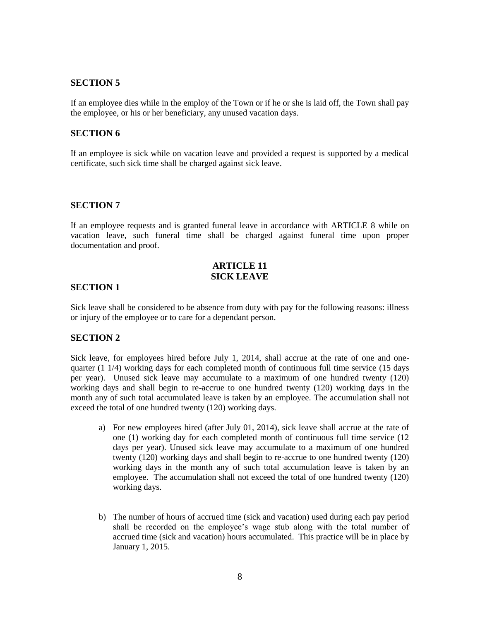If an employee dies while in the employ of the Town or if he or she is laid off, the Town shall pay the employee, or his or her beneficiary, any unused vacation days.

### **SECTION 6**

If an employee is sick while on vacation leave and provided a request is supported by a medical certificate, such sick time shall be charged against sick leave.

#### **SECTION 7**

If an employee requests and is granted funeral leave in accordance with ARTICLE 8 while on vacation leave, such funeral time shall be charged against funeral time upon proper documentation and proof.

## **ARTICLE 11 SICK LEAVE**

#### **SECTION 1**

Sick leave shall be considered to be absence from duty with pay for the following reasons: illness or injury of the employee or to care for a dependant person.

### **SECTION 2**

Sick leave, for employees hired before July 1, 2014, shall accrue at the rate of one and onequarter  $(1\ 1/4)$  working days for each completed month of continuous full time service (15 days per year). Unused sick leave may accumulate to a maximum of one hundred twenty (120) working days and shall begin to re-accrue to one hundred twenty (120) working days in the month any of such total accumulated leave is taken by an employee. The accumulation shall not exceed the total of one hundred twenty (120) working days.

- a) For new employees hired (after July 01, 2014), sick leave shall accrue at the rate of one (1) working day for each completed month of continuous full time service (12 days per year). Unused sick leave may accumulate to a maximum of one hundred twenty (120) working days and shall begin to re-accrue to one hundred twenty (120) working days in the month any of such total accumulation leave is taken by an employee. The accumulation shall not exceed the total of one hundred twenty (120) working days.
- b) The number of hours of accrued time (sick and vacation) used during each pay period shall be recorded on the employee's wage stub along with the total number of accrued time (sick and vacation) hours accumulated. This practice will be in place by January 1, 2015.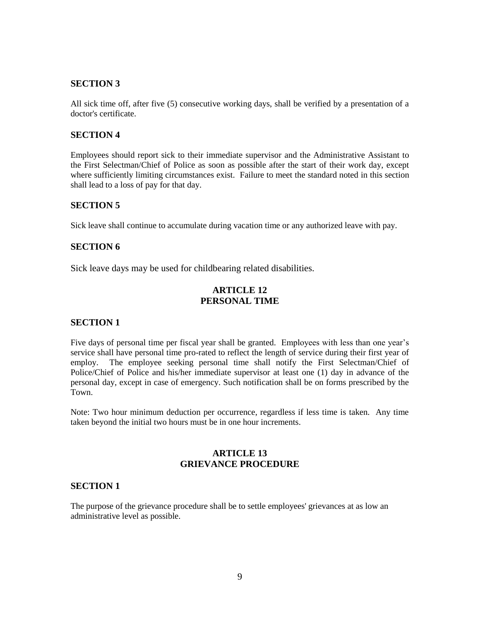All sick time off, after five (5) consecutive working days, shall be verified by a presentation of a doctor's certificate.

### **SECTION 4**

Employees should report sick to their immediate supervisor and the Administrative Assistant to the First Selectman/Chief of Police as soon as possible after the start of their work day, except where sufficiently limiting circumstances exist. Failure to meet the standard noted in this section shall lead to a loss of pay for that day.

## **SECTION 5**

Sick leave shall continue to accumulate during vacation time or any authorized leave with pay.

## **SECTION 6**

Sick leave days may be used for childbearing related disabilities.

## **ARTICLE 12 PERSONAL TIME**

### **SECTION 1**

Five days of personal time per fiscal year shall be granted. Employees with less than one year's service shall have personal time pro-rated to reflect the length of service during their first year of employ. The employee seeking personal time shall notify the First Selectman/Chief of Police/Chief of Police and his/her immediate supervisor at least one (1) day in advance of the personal day, except in case of emergency. Such notification shall be on forms prescribed by the Town.

Note: Two hour minimum deduction per occurrence, regardless if less time is taken. Any time taken beyond the initial two hours must be in one hour increments.

# **ARTICLE 13 GRIEVANCE PROCEDURE**

## **SECTION 1**

The purpose of the grievance procedure shall be to settle employees' grievances at as low an administrative level as possible.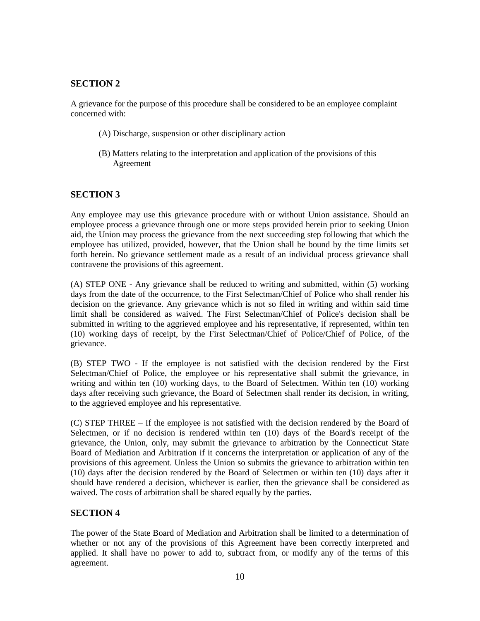A grievance for the purpose of this procedure shall be considered to be an employee complaint concerned with:

- (A) Discharge, suspension or other disciplinary action
- (B) Matters relating to the interpretation and application of the provisions of this Agreement

# **SECTION 3**

Any employee may use this grievance procedure with or without Union assistance. Should an employee process a grievance through one or more steps provided herein prior to seeking Union aid, the Union may process the grievance from the next succeeding step following that which the employee has utilized, provided, however, that the Union shall be bound by the time limits set forth herein. No grievance settlement made as a result of an individual process grievance shall contravene the provisions of this agreement.

(A) STEP ONE - Any grievance shall be reduced to writing and submitted, within (5) working days from the date of the occurrence, to the First Selectman/Chief of Police who shall render his decision on the grievance. Any grievance which is not so filed in writing and within said time limit shall be considered as waived. The First Selectman/Chief of Police's decision shall be submitted in writing to the aggrieved employee and his representative, if represented, within ten (10) working days of receipt, by the First Selectman/Chief of Police/Chief of Police, of the grievance.

(B) STEP TWO - If the employee is not satisfied with the decision rendered by the First Selectman/Chief of Police, the employee or his representative shall submit the grievance, in writing and within ten (10) working days, to the Board of Selectmen. Within ten (10) working days after receiving such grievance, the Board of Selectmen shall render its decision, in writing, to the aggrieved employee and his representative.

(C) STEP THREE – If the employee is not satisfied with the decision rendered by the Board of Selectmen, or if no decision is rendered within ten (10) days of the Board's receipt of the grievance, the Union, only, may submit the grievance to arbitration by the Connecticut State Board of Mediation and Arbitration if it concerns the interpretation or application of any of the provisions of this agreement. Unless the Union so submits the grievance to arbitration within ten (10) days after the decision rendered by the Board of Selectmen or within ten (10) days after it should have rendered a decision, whichever is earlier, then the grievance shall be considered as waived. The costs of arbitration shall be shared equally by the parties.

## **SECTION 4**

The power of the State Board of Mediation and Arbitration shall be limited to a determination of whether or not any of the provisions of this Agreement have been correctly interpreted and applied. It shall have no power to add to, subtract from, or modify any of the terms of this agreement.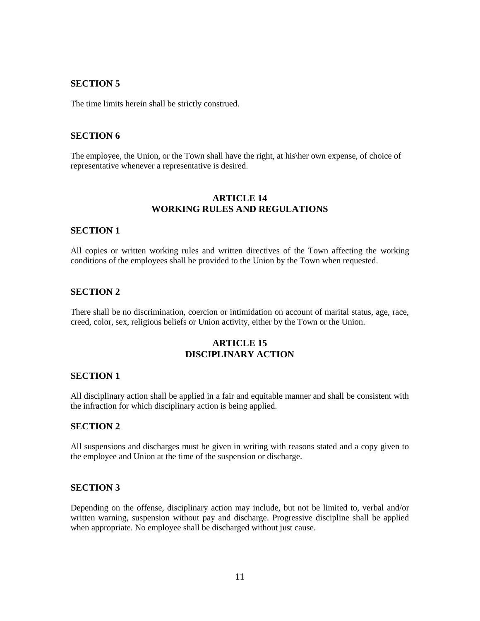The time limits herein shall be strictly construed.

### **SECTION 6**

The employee, the Union, or the Town shall have the right, at his\her own expense, of choice of representative whenever a representative is desired.

## **ARTICLE 14 WORKING RULES AND REGULATIONS**

### **SECTION 1**

All copies or written working rules and written directives of the Town affecting the working conditions of the employees shall be provided to the Union by the Town when requested.

### **SECTION 2**

There shall be no discrimination, coercion or intimidation on account of marital status, age, race, creed, color, sex, religious beliefs or Union activity, either by the Town or the Union.

# **ARTICLE 15 DISCIPLINARY ACTION**

### **SECTION 1**

All disciplinary action shall be applied in a fair and equitable manner and shall be consistent with the infraction for which disciplinary action is being applied.

### **SECTION 2**

All suspensions and discharges must be given in writing with reasons stated and a copy given to the employee and Union at the time of the suspension or discharge.

## **SECTION 3**

Depending on the offense, disciplinary action may include, but not be limited to, verbal and/or written warning, suspension without pay and discharge. Progressive discipline shall be applied when appropriate. No employee shall be discharged without just cause.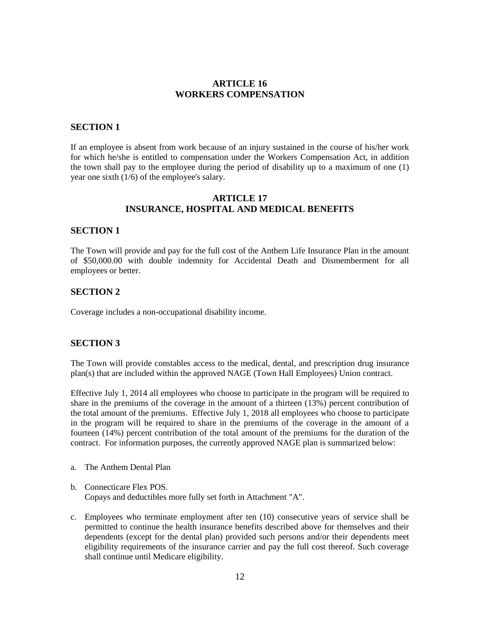## **ARTICLE 16 WORKERS COMPENSATION**

## **SECTION 1**

If an employee is absent from work because of an injury sustained in the course of his/her work for which he/she is entitled to compensation under the Workers Compensation Act, in addition the town shall pay to the employee during the period of disability up to a maximum of one (1) year one sixth (1/6) of the employee's salary.

## **ARTICLE 17 INSURANCE, HOSPITAL AND MEDICAL BENEFITS**

### **SECTION 1**

The Town will provide and pay for the full cost of the Anthem Life Insurance Plan in the amount of \$50,000.00 with double indemnity for Accidental Death and Dismemberment for all employees or better.

#### **SECTION 2**

Coverage includes a non-occupational disability income.

#### **SECTION 3**

The Town will provide constables access to the medical, dental, and prescription drug insurance plan(s) that are included within the approved NAGE (Town Hall Employees) Union contract.

Effective July 1, 2014 all employees who choose to participate in the program will be required to share in the premiums of the coverage in the amount of a thirteen (13%) percent contribution of the total amount of the premiums. Effective July 1, 2018 all employees who choose to participate in the program will be required to share in the premiums of the coverage in the amount of a fourteen (14%) percent contribution of the total amount of the premiums for the duration of the contract. For information purposes, the currently approved NAGE plan is summarized below:

- a. The Anthem Dental Plan
- b. Connecticare Flex POS. Copays and deductibles more fully set forth in Attachment "A".
- c. Employees who terminate employment after ten (10) consecutive years of service shall be permitted to continue the health insurance benefits described above for themselves and their dependents (except for the dental plan) provided such persons and/or their dependents meet eligibility requirements of the insurance carrier and pay the full cost thereof. Such coverage shall continue until Medicare eligibility.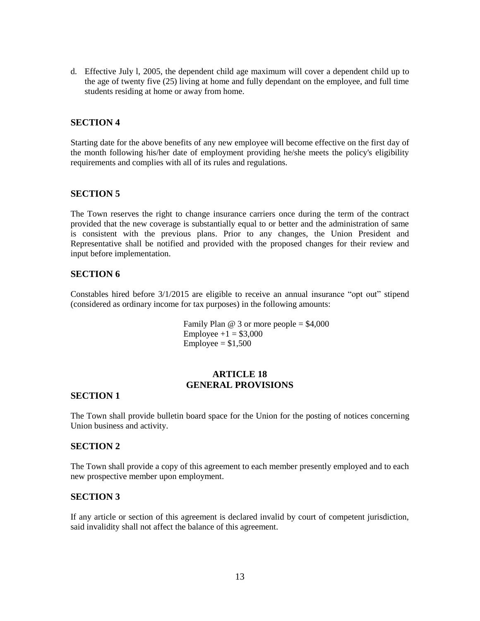d. Effective July l, 2005, the dependent child age maximum will cover a dependent child up to the age of twenty five (25) living at home and fully dependant on the employee, and full time students residing at home or away from home.

## **SECTION 4**

Starting date for the above benefits of any new employee will become effective on the first day of the month following his/her date of employment providing he/she meets the policy's eligibility requirements and complies with all of its rules and regulations.

## **SECTION 5**

The Town reserves the right to change insurance carriers once during the term of the contract provided that the new coverage is substantially equal to or better and the administration of same is consistent with the previous plans. Prior to any changes, the Union President and Representative shall be notified and provided with the proposed changes for their review and input before implementation.

## **SECTION 6**

Constables hired before 3/1/2015 are eligible to receive an annual insurance "opt out" stipend (considered as ordinary income for tax purposes) in the following amounts:

> Family Plan  $\omega$  3 or more people = \$4,000 Employee  $+1 = $3,000$  $Employee = $1,500$

# **ARTICLE 18 GENERAL PROVISIONS**

### **SECTION 1**

The Town shall provide bulletin board space for the Union for the posting of notices concerning Union business and activity.

### **SECTION 2**

The Town shall provide a copy of this agreement to each member presently employed and to each new prospective member upon employment.

### **SECTION 3**

If any article or section of this agreement is declared invalid by court of competent jurisdiction, said invalidity shall not affect the balance of this agreement.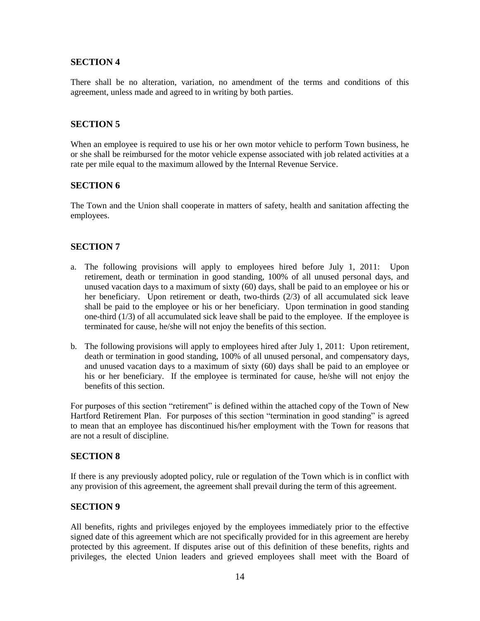There shall be no alteration, variation, no amendment of the terms and conditions of this agreement, unless made and agreed to in writing by both parties.

## **SECTION 5**

When an employee is required to use his or her own motor vehicle to perform Town business, he or she shall be reimbursed for the motor vehicle expense associated with job related activities at a rate per mile equal to the maximum allowed by the Internal Revenue Service.

### **SECTION 6**

The Town and the Union shall cooperate in matters of safety, health and sanitation affecting the employees.

## **SECTION 7**

- a. The following provisions will apply to employees hired before July 1, 2011: Upon retirement, death or termination in good standing, 100% of all unused personal days, and unused vacation days to a maximum of sixty (60) days, shall be paid to an employee or his or her beneficiary. Upon retirement or death, two-thirds (2/3) of all accumulated sick leave shall be paid to the employee or his or her beneficiary. Upon termination in good standing one-third (1/3) of all accumulated sick leave shall be paid to the employee. If the employee is terminated for cause, he/she will not enjoy the benefits of this section.
- b. The following provisions will apply to employees hired after July 1, 2011: Upon retirement, death or termination in good standing, 100% of all unused personal, and compensatory days, and unused vacation days to a maximum of sixty (60) days shall be paid to an employee or his or her beneficiary. If the employee is terminated for cause, he/she will not enjoy the benefits of this section.

For purposes of this section "retirement" is defined within the attached copy of the Town of New Hartford Retirement Plan. For purposes of this section "termination in good standing" is agreed to mean that an employee has discontinued his/her employment with the Town for reasons that are not a result of discipline.

### **SECTION 8**

If there is any previously adopted policy, rule or regulation of the Town which is in conflict with any provision of this agreement, the agreement shall prevail during the term of this agreement.

## **SECTION 9**

All benefits, rights and privileges enjoyed by the employees immediately prior to the effective signed date of this agreement which are not specifically provided for in this agreement are hereby protected by this agreement. If disputes arise out of this definition of these benefits, rights and privileges, the elected Union leaders and grieved employees shall meet with the Board of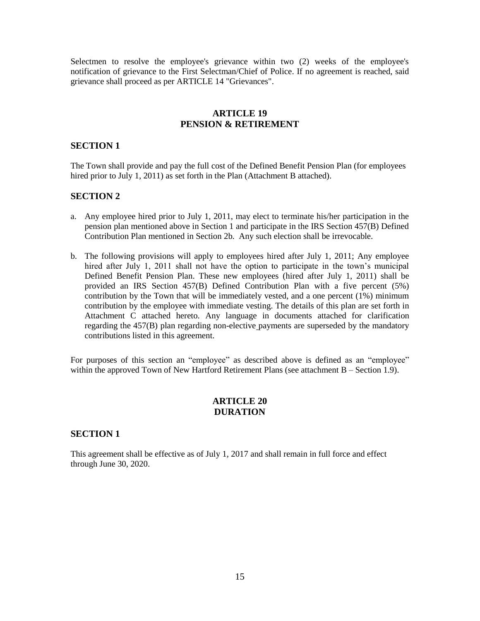Selectmen to resolve the employee's grievance within two (2) weeks of the employee's notification of grievance to the First Selectman/Chief of Police. If no agreement is reached, said grievance shall proceed as per ARTICLE 14 "Grievances".

# **ARTICLE 19 PENSION & RETIREMENT**

### **SECTION 1**

The Town shall provide and pay the full cost of the Defined Benefit Pension Plan (for employees hired prior to July 1, 2011) as set forth in the Plan (Attachment B attached).

## **SECTION 2**

- a. Any employee hired prior to July 1, 2011, may elect to terminate his/her participation in the pension plan mentioned above in Section 1 and participate in the IRS Section 457(B) Defined Contribution Plan mentioned in Section 2b. Any such election shall be irrevocable.
- b. The following provisions will apply to employees hired after July 1, 2011; Any employee hired after July 1, 2011 shall not have the option to participate in the town's municipal Defined Benefit Pension Plan. These new employees (hired after July 1, 2011) shall be provided an IRS Section 457(B) Defined Contribution Plan with a five percent (5%) contribution by the Town that will be immediately vested, and a one percent (1%) minimum contribution by the employee with immediate vesting. The details of this plan are set forth in Attachment C attached hereto. Any language in documents attached for clarification regarding the 457(B) plan regarding non-elective payments are superseded by the mandatory contributions listed in this agreement.

For purposes of this section an "employee" as described above is defined as an "employee" within the approved Town of New Hartford Retirement Plans (see attachment B – Section 1.9).

## **ARTICLE 20 DURATION**

### **SECTION 1**

This agreement shall be effective as of July 1, 2017 and shall remain in full force and effect through June 30, 2020.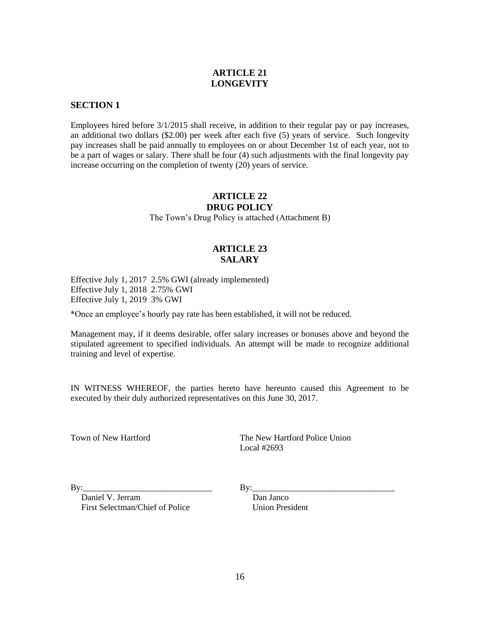# **ARTICLE 21 LONGEVITY**

## **SECTION 1**

Employees hired before 3/1/2015 shall receive, in addition to their regular pay or pay increases, an additional two dollars (\$2.00) per week after each five (5) years of service. Such longevity pay increases shall be paid annually to employees on or about December 1st of each year, not to be a part of wages or salary. There shall be four (4) such adjustments with the final longevity pay increase occurring on the completion of twenty (20) years of service.

### **ARTICLE 22 DRUG POLICY**

The Town's Drug Policy is attached (Attachment B)

# **ARTICLE 23 SALARY**

Effective July 1, 2017 2.5% GWI (already implemented) Effective July 1, 2018 2.75% GWI Effective July 1, 2019 3% GWI

\*Once an employee's hourly pay rate has been established, it will not be reduced.

Management may, if it deems desirable, offer salary increases or bonuses above and beyond the stipulated agreement to specified individuals. An attempt will be made to recognize additional training and level of expertise.

IN WITNESS WHEREOF, the parties hereto have hereunto caused this Agreement to be executed by their duly authorized representatives on this June 30, 2017.

Town of New Hartford The New Hartford Police Union Local #2693

 $\text{By:}\qquad \qquad \text{By:}\qquad \qquad \text{By:}\qquad \qquad \qquad \text{By:}\qquad \qquad$ 

Daniel V. Jerram Dan Janco<br>
First Selectman/Chief of Police Union President First Selectman/Chief of Police